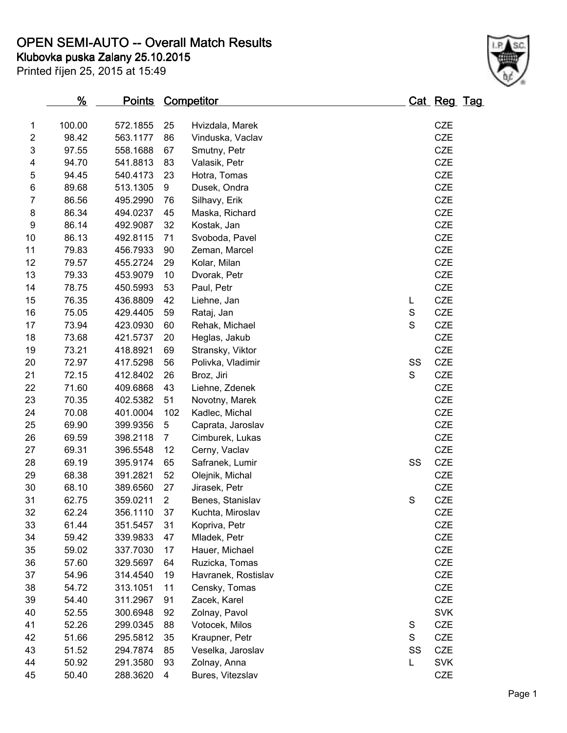# **OPEN SEMI-AUTO -- Overall Match Results**

**Klubovka puska Zalany 25.10.2015**

Printed říjen 25, 2015 at 15:49



|                  | <u>%</u> | <u>Points</u> |                | <u>Competitor</u>   |             | <u> Cat_Reg_Tag</u> |  |
|------------------|----------|---------------|----------------|---------------------|-------------|---------------------|--|
| 1                | 100.00   | 572.1855      | 25             | Hvizdala, Marek     |             | <b>CZE</b>          |  |
| $\overline{c}$   | 98.42    | 563.1177      | 86             | Vinduska, Vaclav    |             | <b>CZE</b>          |  |
| 3                | 97.55    | 558.1688      | 67             | Smutny, Petr        |             | <b>CZE</b>          |  |
| 4                | 94.70    | 541.8813      | 83             | Valasik, Petr       |             | <b>CZE</b>          |  |
| 5                | 94.45    | 540.4173      | 23             | Hotra, Tomas        |             | <b>CZE</b>          |  |
| 6                | 89.68    | 513.1305      | 9              | Dusek, Ondra        |             | CZE                 |  |
| $\overline{7}$   | 86.56    | 495.2990      | 76             | Silhavy, Erik       |             | CZE                 |  |
| 8                | 86.34    | 494.0237      | 45             | Maska, Richard      |             | <b>CZE</b>          |  |
| $\boldsymbol{9}$ | 86.14    | 492.9087      | 32             | Kostak, Jan         |             | CZE                 |  |
| 10               | 86.13    | 492.8115      | 71             | Svoboda, Pavel      |             | <b>CZE</b>          |  |
| 11               | 79.83    | 456.7933      | 90             | Zeman, Marcel       |             | CZE                 |  |
| 12               | 79.57    | 455.2724      | 29             | Kolar, Milan        |             | CZE                 |  |
| 13               | 79.33    | 453.9079      | 10             | Dvorak, Petr        |             | <b>CZE</b>          |  |
| 14               | 78.75    | 450.5993      | 53             | Paul, Petr          |             | <b>CZE</b>          |  |
| 15               | 76.35    | 436.8809      | 42             | Liehne, Jan         | L           | CZE                 |  |
| 16               | 75.05    | 429.4405      | 59             | Rataj, Jan          | $\mathbf S$ | <b>CZE</b>          |  |
| 17               | 73.94    | 423.0930      | 60             | Rehak, Michael      | $\mathsf S$ | CZE                 |  |
| 18               | 73.68    | 421.5737      | 20             | Heglas, Jakub       |             | <b>CZE</b>          |  |
| 19               | 73.21    | 418.8921      | 69             | Stransky, Viktor    |             | CZE                 |  |
| 20               | 72.97    | 417.5298      | 56             | Polivka, Vladimir   | SS          | CZE                 |  |
| 21               | 72.15    | 412.8402      | 26             | Broz, Jiri          | S           | <b>CZE</b>          |  |
| 22               | 71.60    | 409.6868      | 43             | Liehne, Zdenek      |             | <b>CZE</b>          |  |
| 23               | 70.35    | 402.5382      | 51             | Novotny, Marek      |             | <b>CZE</b>          |  |
| 24               | 70.08    | 401.0004      | 102            | Kadlec, Michal      |             | <b>CZE</b>          |  |
| 25               | 69.90    | 399.9356      | 5              | Caprata, Jaroslav   |             | CZE                 |  |
| 26               | 69.59    | 398.2118      | $\overline{7}$ | Cimburek, Lukas     |             | <b>CZE</b>          |  |
| 27               | 69.31    | 396.5548      | 12             | Cerny, Vaclav       |             | CZE                 |  |
| 28               | 69.19    | 395.9174      | 65             | Safranek, Lumir     | SS          | <b>CZE</b>          |  |
| 29               | 68.38    | 391.2821      | 52             | Olejnik, Michal     |             | <b>CZE</b>          |  |
| 30               | 68.10    | 389.6560      | 27             | Jirasek, Petr       |             | <b>CZE</b>          |  |
| 31               | 62.75    | 359.0211      | $\overline{2}$ | Benes, Stanislav    | $\mathbf S$ | <b>CZE</b>          |  |
| 32               | 62.24    | 356.1110      | 37             | Kuchta, Miroslav    |             | CZE                 |  |
| 33               | 61.44    | 351.5457      | 31             | Kopriva, Petr       |             | CZE                 |  |
| 34               | 59.42    | 339.9833      | 47             | Mladek, Petr        |             | <b>CZE</b>          |  |
| 35               | 59.02    | 337.7030      | 17             | Hauer, Michael      |             | <b>CZE</b>          |  |
| 36               | 57.60    | 329.5697      | 64             | Ruzicka, Tomas      |             | <b>CZE</b>          |  |
| 37               | 54.96    | 314.4540      | 19             | Havranek, Rostislav |             | CZE                 |  |
| 38               | 54.72    | 313.1051      | 11             | Censky, Tomas       |             | <b>CZE</b>          |  |
| 39               | 54.40    | 311.2967      | 91             | Zacek, Karel        |             | <b>CZE</b>          |  |
| 40               | 52.55    | 300.6948      | 92             | Zolnay, Pavol       |             | <b>SVK</b>          |  |
| 41               | 52.26    | 299.0345      | 88             | Votocek, Milos      | S           | CZE                 |  |
| 42               | 51.66    | 295.5812      | 35             | Kraupner, Petr      | S           | CZE                 |  |
| 43               | 51.52    | 294.7874      | 85             | Veselka, Jaroslav   | SS          | CZE                 |  |
| 44               | 50.92    | 291.3580      | 93             | Zolnay, Anna        | L           | <b>SVK</b>          |  |
| 45               | 50.40    | 288.3620      | 4              | Bures, Vitezslav    |             | CZE                 |  |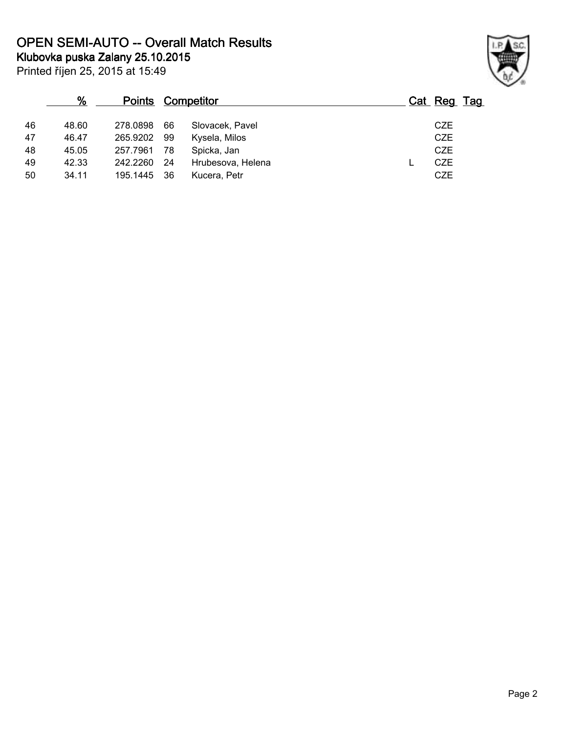**Klubovka puska Zalany 25.10.2015 OPEN SEMI-AUTO -- Overall Match Results**

Printed říjen 25, 2015 at 15:49

|    | $\%$  |             | <b>Points Competitor</b> |                   | Cat Reg Tag |
|----|-------|-------------|--------------------------|-------------------|-------------|
| 46 | 48.60 | 278,0898    | 66                       | Slovacek, Pavel   | <b>CZE</b>  |
| 47 | 46.47 | 265.9202    | 99                       | Kysela, Milos     | <b>CZE</b>  |
| 48 | 45.05 | 257.7961    | 78                       | Spicka, Jan       | <b>CZE</b>  |
| 49 | 42.33 | 242.2260    | 24                       | Hrubesova, Helena | CZE         |
| 50 | 34.11 | 195.1445 36 |                          | Kucera, Petr      | <b>CZE</b>  |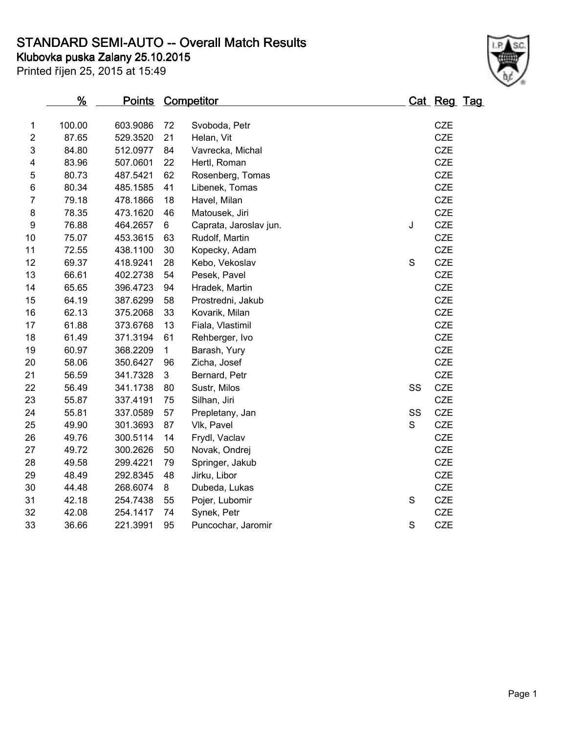# **STANDARD SEMI-AUTO -- Overall Match Results**

**Klubovka puska Zalany 25.10.2015**

Printed říjen 25, 2015 at 15:49



|                  | %      | <u>Points</u> |             | <b>Competitor</b>      |             | Cat Reg Tag |  |
|------------------|--------|---------------|-------------|------------------------|-------------|-------------|--|
| 1                | 100.00 | 603.9086      | 72          | Svoboda, Petr          |             | <b>CZE</b>  |  |
| $\overline{2}$   | 87.65  | 529.3520      | 21          | Helan, Vit             |             | <b>CZE</b>  |  |
| 3                | 84.80  | 512.0977      | 84          | Vavrecka, Michal       |             | <b>CZE</b>  |  |
| 4                | 83.96  | 507.0601      | 22          | Hertl, Roman           |             | <b>CZE</b>  |  |
| 5                | 80.73  | 487.5421      | 62          | Rosenberg, Tomas       |             | <b>CZE</b>  |  |
| 6                | 80.34  | 485.1585      | 41          | Libenek, Tomas         |             | <b>CZE</b>  |  |
| $\overline{7}$   | 79.18  | 478.1866      | 18          | Havel, Milan           |             | <b>CZE</b>  |  |
| 8                | 78.35  | 473.1620      | 46          | Matousek, Jiri         |             | CZE         |  |
| $\boldsymbol{9}$ | 76.88  | 464.2657      | 6           | Caprata, Jaroslav jun. | J           | <b>CZE</b>  |  |
| 10               | 75.07  | 453.3615      | 63          | Rudolf, Martin         |             | <b>CZE</b>  |  |
| 11               | 72.55  | 438.1100      | 30          | Kopecky, Adam          |             | <b>CZE</b>  |  |
| 12               | 69.37  | 418.9241      | 28          | Kebo, Vekoslav         | S           | <b>CZE</b>  |  |
| 13               | 66.61  | 402.2738      | 54          | Pesek, Pavel           |             | <b>CZE</b>  |  |
| 14               | 65.65  | 396.4723      | 94          | Hradek, Martin         |             | <b>CZE</b>  |  |
| 15               | 64.19  | 387.6299      | 58          | Prostredni, Jakub      |             | <b>CZE</b>  |  |
| 16               | 62.13  | 375.2068      | 33          | Kovarik, Milan         |             | <b>CZE</b>  |  |
| 17               | 61.88  | 373.6768      | 13          | Fiala, Vlastimil       |             | <b>CZE</b>  |  |
| 18               | 61.49  | 371.3194      | 61          | Rehberger, Ivo         |             | <b>CZE</b>  |  |
| 19               | 60.97  | 368.2209      | $\mathbf 1$ | Barash, Yury           |             | <b>CZE</b>  |  |
| 20               | 58.06  | 350.6427      | 96          | Zicha, Josef           |             | <b>CZE</b>  |  |
| 21               | 56.59  | 341.7328      | 3           | Bernard, Petr          |             | <b>CZE</b>  |  |
| 22               | 56.49  | 341.1738      | 80          | Sustr, Milos           | SS          | <b>CZE</b>  |  |
| 23               | 55.87  | 337.4191      | 75          | Silhan, Jiri           |             | <b>CZE</b>  |  |
| 24               | 55.81  | 337.0589      | 57          | Prepletany, Jan        | SS          | <b>CZE</b>  |  |
| 25               | 49.90  | 301.3693      | 87          | Vlk, Pavel             | S           | <b>CZE</b>  |  |
| 26               | 49.76  | 300.5114      | 14          | Frydl, Vaclav          |             | <b>CZE</b>  |  |
| 27               | 49.72  | 300.2626      | 50          | Novak, Ondrej          |             | <b>CZE</b>  |  |
| 28               | 49.58  | 299.4221      | 79          | Springer, Jakub        |             | <b>CZE</b>  |  |
| 29               | 48.49  | 292.8345      | 48          | Jirku, Libor           |             | <b>CZE</b>  |  |
| 30               | 44.48  | 268.6074      | 8           | Dubeda, Lukas          |             | <b>CZE</b>  |  |
| 31               | 42.18  | 254.7438      | 55          | Pojer, Lubomir         | $\mathbf S$ | <b>CZE</b>  |  |
| 32               | 42.08  | 254.1417      | 74          | Synek, Petr            |             | <b>CZE</b>  |  |
| 33               | 36.66  | 221.3991      | 95          | Puncochar, Jaromir     | S           | <b>CZE</b>  |  |